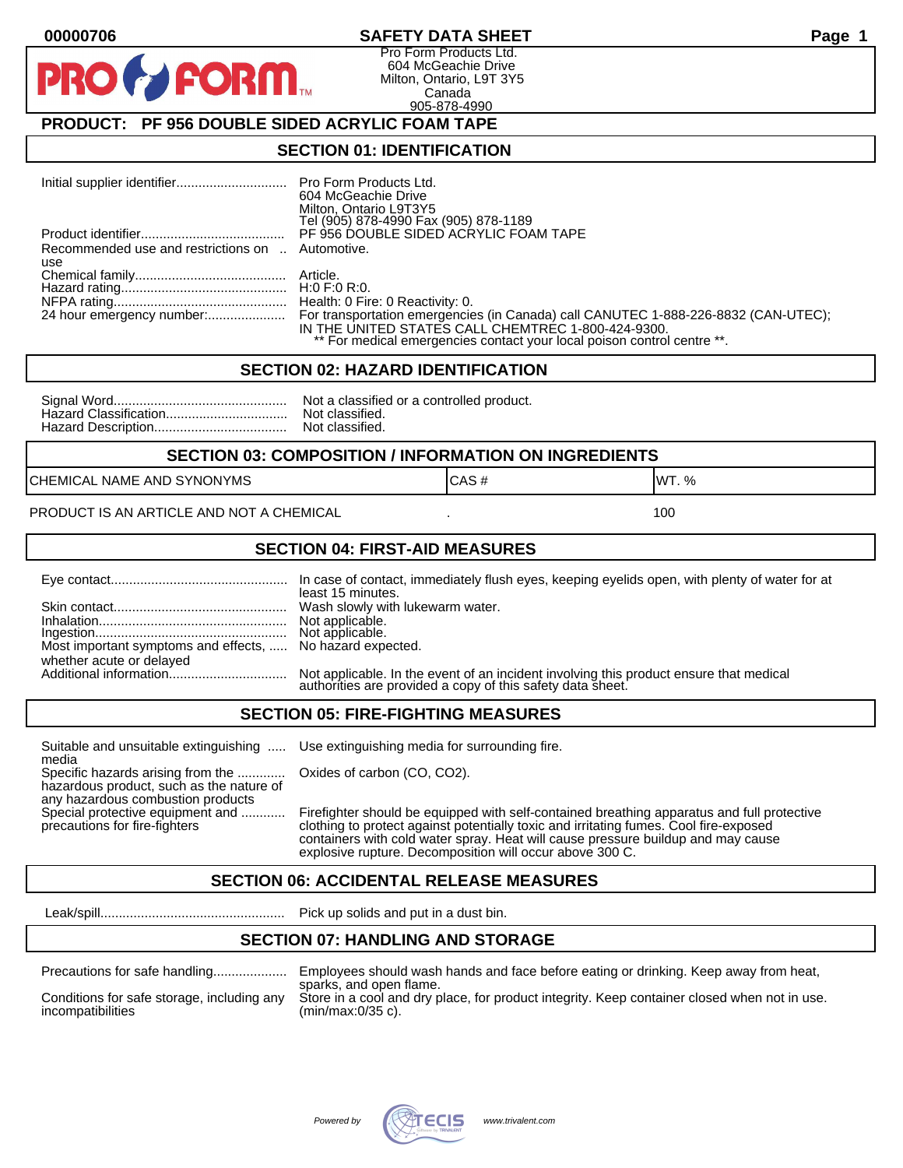#### **00000706 SAFETY DATA SHEET Page 1**

Pro Form Products Ltd. 604 McGeachie Drive Milton, Ontario, L9T 3Y5 Canada 905-878-4990

## **PRODUCT: PF 956 DOUBLE SIDED ACRYLIC FOAM TAPE**

**FORM** 

#### **SECTION 01: IDENTIFICATION**

|                                                         | 604 McGeachie Drive<br>Milton, Ontario L9T3Y5<br>Tel (905) 878-4990 Fax (905) 878-1189                                                                                                                                                        |
|---------------------------------------------------------|-----------------------------------------------------------------------------------------------------------------------------------------------------------------------------------------------------------------------------------------------|
|                                                         | PF 956 DOUBLE SIDED ACRYLIC FOAM TAPE                                                                                                                                                                                                         |
| Recommended use and restrictions on  Automotive.<br>use |                                                                                                                                                                                                                                               |
|                                                         |                                                                                                                                                                                                                                               |
|                                                         |                                                                                                                                                                                                                                               |
|                                                         | 24 hour emergency number: For transportation emergencies (in Canada) call CANUTEC 1-888-226-8832 (CAN-UTEC);<br>IN THE UNITED STATES CALL CHEMTREC 1-800-424-9300.<br>** For medical emergencies contact your local poison control centre **. |

#### **SECTION 02: HAZARD IDENTIFICATION**

| Nc |
|----|
| No |
| No |

ot a classified or a controlled product. ot classified. ot classified.

#### **SECTION 03: COMPOSITION / INFORMATION ON INGREDIENTS**

CHEMICAL NAME AND SYNONYMS GAS AND CAS # CAS # WT. %

PRODUCT IS AN ARTICLE AND NOT A CHEMICAL **AND THE SET AND A SET ALL ASSAULT** 100

#### **SECTION 04: FIRST-AID MEASURES**

|                                                                                       | least 15 minutes.                                                                                                                                 |
|---------------------------------------------------------------------------------------|---------------------------------------------------------------------------------------------------------------------------------------------------|
|                                                                                       |                                                                                                                                                   |
| Most important symptoms and effects,  No hazard expected.<br>whether acute or delayed |                                                                                                                                                   |
|                                                                                       | Not applicable. In the event of an incident involving this product ensure that medical authorities are provided a copy of this safety data sheet. |

#### **SECTION 05: FIRE-FIGHTING MEASURES**

Suitable and unsuitable extinguishing ..... Use extinguishing media for surrounding fire. media

Specific hazards arising from the ............. Oxides of carbon (CO, CO2). hazardous product, such as the nature of any hazardous combustion products

Special protective equipment and ............ Firefighter should be equipped with self-contained breathing apparatus and full protective<br>precautions for fire-fighters continent clothing to protect against potentially toxic clothing to protect against potentially toxic and irritating fumes. Cool fire-exposed containers with cold water spray. Heat will cause pressure buildup and may cause explosive rupture. Decomposition will occur above 300 C.

## **SECTION 06: ACCIDENTAL RELEASE MEASURES**

Leak/spill.................................................. Pick up solids and put in a dust bin.

#### **SECTION 07: HANDLING AND STORAGE**

| Precautions for safe nandling |  |  |
|-------------------------------|--|--|
|                               |  |  |

incompatibilities (min/max:0/35 c).

Precautions for safe handling.................... Employees should wash hands and face before eating or drinking. Keep away from heat, sparks, and open flame. Conditions for safe storage, including any Store in a cool and dry place, for product integrity. Keep container closed when not in use.

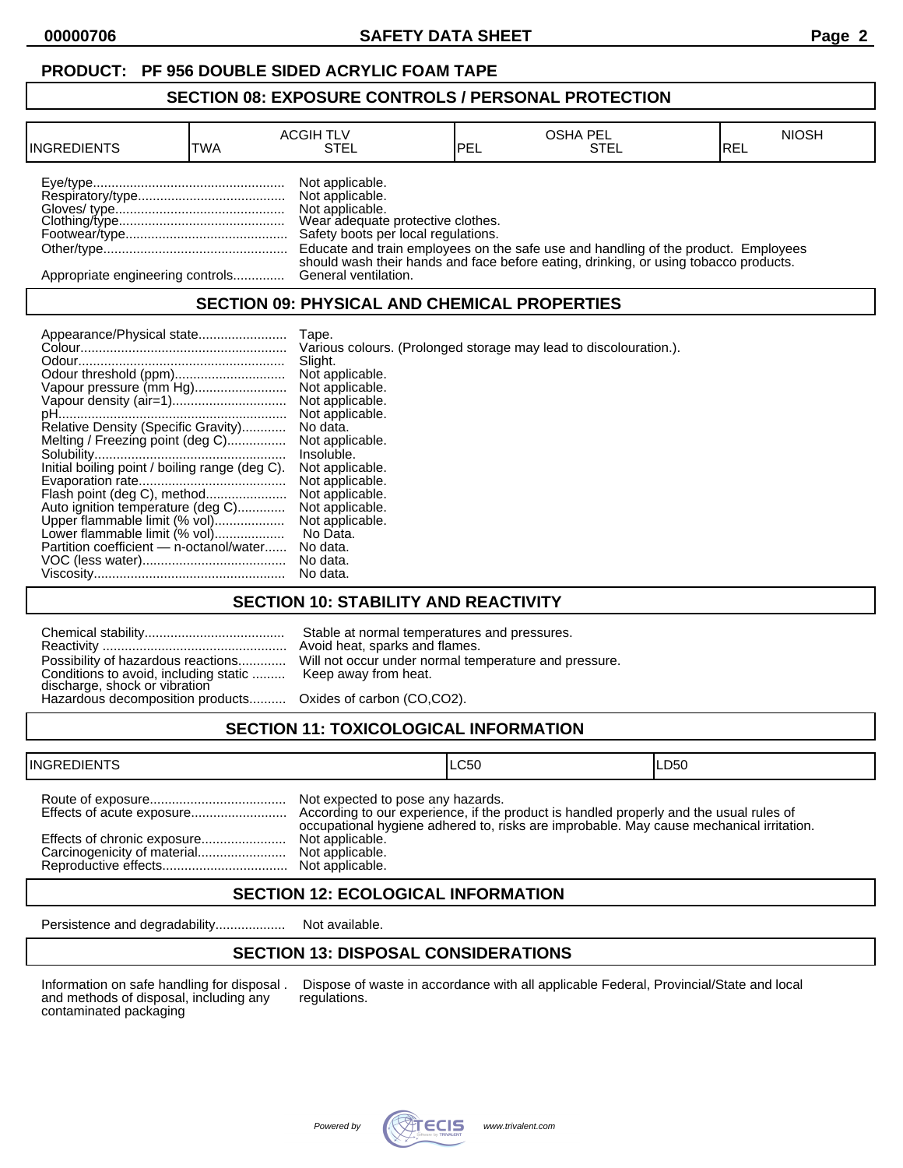## **PRODUCT: PF 956 DOUBLE SIDED ACRYLIC FOAM TAPE**

#### **SECTION 08: EXPOSURE CONTROLS / PERSONAL PROTECTION**

| <b>INGREDIENTS</b>               | TWA | <b>ACGIH TLV</b><br>STEL                                                                                                          | <b>IPEL</b> | <b>OSHA PEL</b><br><b>STEL</b>                                                       | <b>NIOSH</b><br>IREL |
|----------------------------------|-----|-----------------------------------------------------------------------------------------------------------------------------------|-------------|--------------------------------------------------------------------------------------|----------------------|
|                                  |     | Not applicable.<br>Not applicable.<br>Not applicable.<br>Wear adequate protective clothes.<br>Safety boots per local regulations. |             | Educate and train employees on the safe use and handling of the product. Employees   |                      |
| Appropriate engineering controls |     | General ventilation.                                                                                                              |             | should wash their hands and face before eating, drinking, or using tobacco products. |                      |

## **SECTION 09: PHYSICAL AND CHEMICAL PROPERTIES**

| Appearance/Physical state                      | Tape.                                                             |
|------------------------------------------------|-------------------------------------------------------------------|
|                                                | Various colours. (Prolonged storage may lead to discolouration.). |
|                                                | Slight.                                                           |
|                                                | Not applicable.                                                   |
| Vapour pressure (mm Hg)                        | Not applicable.                                                   |
|                                                | Not applicable.                                                   |
|                                                | Not applicable.                                                   |
| Relative Density (Specific Gravity)            | No data.                                                          |
| Melting / Freezing point (deg C)               | Not applicable.                                                   |
|                                                | Insoluble.                                                        |
| Initial boiling point / boiling range (deg C). | Not applicable.                                                   |
|                                                | Not applicable.                                                   |
| Flash point (deg C), method                    | Not applicable.                                                   |
| Auto ignition temperature (deg C)              | Not applicable.                                                   |
| Upper flammable limit (% vol)                  | Not applicable.                                                   |
| Lower flammable limit (% vol)                  | No Data.                                                          |
| Partition coefficient - n-octanol/water        | No data.                                                          |
|                                                | No data.                                                          |
|                                                | No data.                                                          |

## **SECTION 10: STABILITY AND REACTIVITY**

| Conditions to avoid, including static  Keep away from heat.<br>discharge, shock or vibration<br>Hazardous decomposition products Oxides of carbon (CO,CO2). | Stable at normal temperatures and pressures.<br>Avoid heat, sparks and flames.<br>Possibility of hazardous reactions Will not occur under normal temperature and pressure. |
|-------------------------------------------------------------------------------------------------------------------------------------------------------------|----------------------------------------------------------------------------------------------------------------------------------------------------------------------------|
|                                                                                                                                                             |                                                                                                                                                                            |

# **SECTION 11: TOXICOLOGICAL INFORMATION**

| <b>INGREDIENTS</b> |                                                                                            | ILC50                                                                                   | ILD50 |
|--------------------|--------------------------------------------------------------------------------------------|-----------------------------------------------------------------------------------------|-------|
|                    | Not expected to pose any hazards.<br>Not applicable.<br>Not applicable.<br>Not applicable. | occupational hygiene adhered to, risks are improbable. May cause mechanical irritation. |       |

## **SECTION 12: ECOLOGICAL INFORMATION**

Persistence and degradability................... Not available.

## **SECTION 13: DISPOSAL CONSIDERATIONS**

and methods of disposal, including any contaminated packaging

Information on safe handling for disposal . Dispose of waste in accordance with all applicable Federal, Provincial/State and local